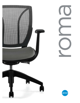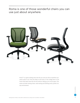Roma is one of those wonderful chairs you can use just about anywhere.



Roma<sup>TM</sup> is a great looking chair that fits you and just about anywhere you need a place to sit. From the office to the home, to the college dorm or the hotel work desk, Roma fits the bill without taking up too much space. The series includes nesting chairs, task seating and drafting stools, perfect for any environment.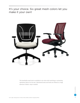It's your choice. Six great mesh colors let you make it your own!



The breathable mesh back is available in six colors with matching or contrasting upholstery fabrics for the seat. Upholstered seats and backs are offered in a large selection of fabric, vinyl or leather.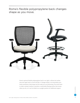Roma's flexible polypropylene back changes shape as you move.



Roma's optional flexible polypropylene back is not rigid, it allows the lumbar area and upper back to move and flex. It changes shape to accommodate your body movements, body shape and the tasks you are performing. The entire back is under constant tension to provide a comfortable floating motion that moves when you do, or it can be locked in an upright position for additional support.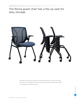The Roma guest chair has a flip up seat for easy storage.



The guest chair features a flip up seat allowing the chairs to nest horizontally. This saves a considerable amount of space and avoids heavy lifting when space is reconfigured for different events.